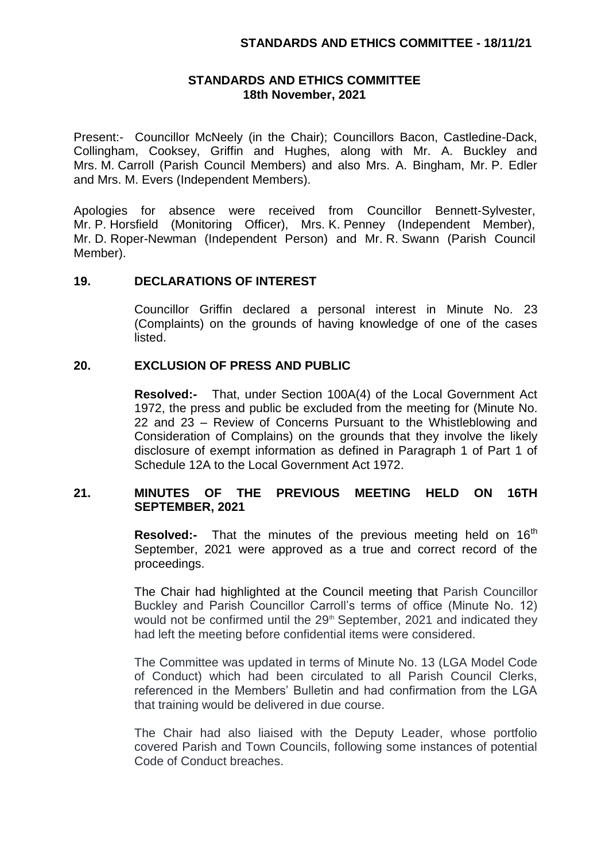# **STANDARDS AND ETHICS COMMITTEE 18th November, 2021**

Present:- Councillor McNeely (in the Chair); Councillors Bacon, Castledine-Dack, Collingham, Cooksey, Griffin and Hughes, along with Mr. A. Buckley and Mrs. M. Carroll (Parish Council Members) and also Mrs. A. Bingham, Mr. P. Edler and Mrs. M. Evers (Independent Members).

Apologies for absence were received from Councillor Bennett-Sylvester, Mr. P. Horsfield (Monitoring Officer), Mrs. K. Penney (Independent Member), Mr. D. Roper-Newman (Independent Person) and Mr. R. Swann (Parish Council Member).

# **19. DECLARATIONS OF INTEREST**

Councillor Griffin declared a personal interest in Minute No. 23 (Complaints) on the grounds of having knowledge of one of the cases listed.

# **20. EXCLUSION OF PRESS AND PUBLIC**

**Resolved:-** That, under Section 100A(4) of the Local Government Act 1972, the press and public be excluded from the meeting for (Minute No. 22 and 23 – Review of Concerns Pursuant to the Whistleblowing and Consideration of Complains) on the grounds that they involve the likely disclosure of exempt information as defined in Paragraph 1 of Part 1 of Schedule 12A to the Local Government Act 1972.

# **21. MINUTES OF THE PREVIOUS MEETING HELD ON 16TH SEPTEMBER, 2021**

**Resolved:-** That the minutes of the previous meeting held on 16<sup>th</sup> September, 2021 were approved as a true and correct record of the proceedings.

The Chair had highlighted at the Council meeting that Parish Councillor Buckley and Parish Councillor Carroll's terms of office (Minute No. 12) would not be confirmed until the  $29<sup>th</sup>$  September, 2021 and indicated they had left the meeting before confidential items were considered.

The Committee was updated in terms of Minute No. 13 (LGA Model Code of Conduct) which had been circulated to all Parish Council Clerks, referenced in the Members' Bulletin and had confirmation from the LGA that training would be delivered in due course.

The Chair had also liaised with the Deputy Leader, whose portfolio covered Parish and Town Councils, following some instances of potential Code of Conduct breaches.